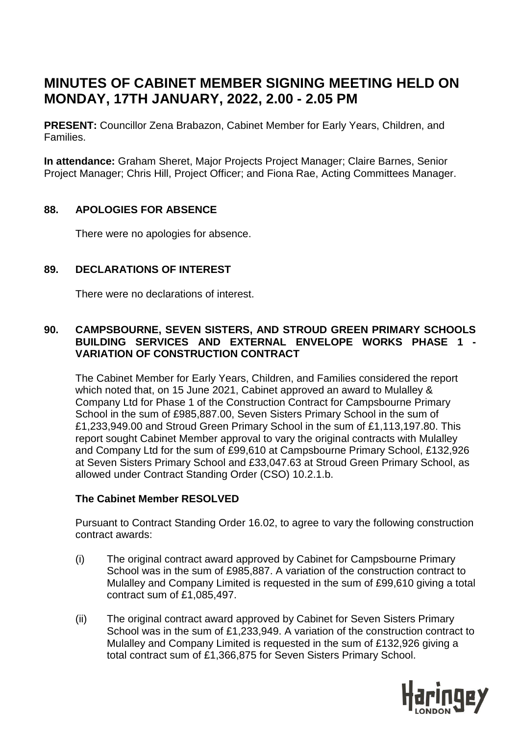# **MINUTES OF CABINET MEMBER SIGNING MEETING HELD ON MONDAY, 17TH JANUARY, 2022, 2.00 - 2.05 PM**

**PRESENT:** Councillor Zena Brabazon, Cabinet Member for Early Years, Children, and Families.

**In attendance:** Graham Sheret, Major Projects Project Manager; Claire Barnes, Senior Project Manager; Chris Hill, Project Officer; and Fiona Rae, Acting Committees Manager.

## **88. APOLOGIES FOR ABSENCE**

There were no apologies for absence.

## **89. DECLARATIONS OF INTEREST**

There were no declarations of interest.

## **90. CAMPSBOURNE, SEVEN SISTERS, AND STROUD GREEN PRIMARY SCHOOLS BUILDING SERVICES AND EXTERNAL ENVELOPE WORKS PHASE 1 - VARIATION OF CONSTRUCTION CONTRACT**

The Cabinet Member for Early Years, Children, and Families considered the report which noted that, on 15 June 2021, Cabinet approved an award to Mulalley & Company Ltd for Phase 1 of the Construction Contract for Campsbourne Primary School in the sum of £985,887.00, Seven Sisters Primary School in the sum of £1,233,949.00 and Stroud Green Primary School in the sum of £1,113,197.80. This report sought Cabinet Member approval to vary the original contracts with Mulalley and Company Ltd for the sum of £99,610 at Campsbourne Primary School, £132,926 at Seven Sisters Primary School and £33,047.63 at Stroud Green Primary School, as allowed under Contract Standing Order (CSO) 10.2.1.b.

#### **The Cabinet Member RESOLVED**

Pursuant to Contract Standing Order 16.02, to agree to vary the following construction contract awards:

- (i) The original contract award approved by Cabinet for Campsbourne Primary School was in the sum of £985,887. A variation of the construction contract to Mulalley and Company Limited is requested in the sum of £99,610 giving a total contract sum of £1,085,497.
- (ii) The original contract award approved by Cabinet for Seven Sisters Primary School was in the sum of £1,233,949. A variation of the construction contract to Mulalley and Company Limited is requested in the sum of £132,926 giving a total contract sum of £1,366,875 for Seven Sisters Primary School.